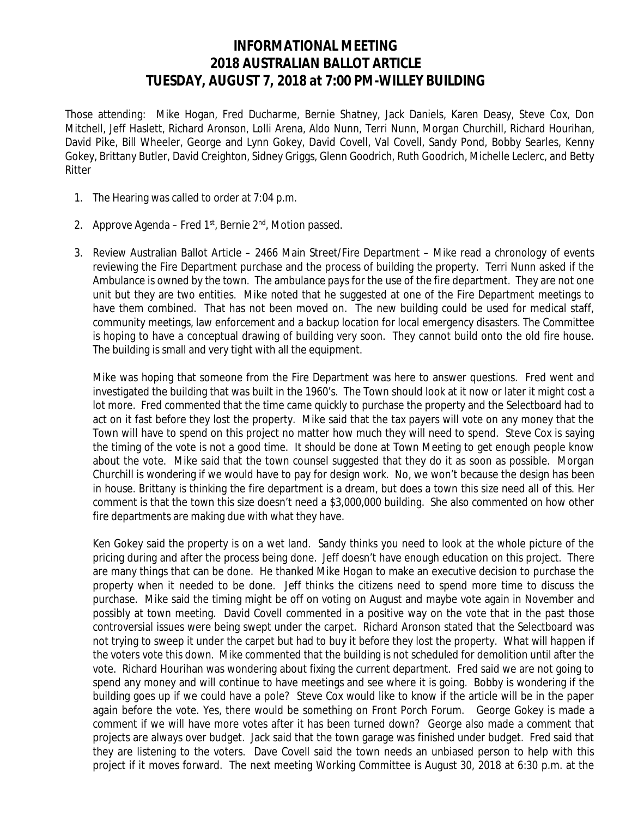## **INFORMATIONAL MEETING 2018 AUSTRALIAN BALLOT ARTICLE TUESDAY, AUGUST 7, 2018 at 7:00 PM-WILLEY BUILDING**

 Those attending: Mike Hogan, Fred Ducharme, Bernie Shatney, Jack Daniels, Karen Deasy, Steve Cox, Don Mitchell, Jeff Haslett, Richard Aronson, Lolli Arena, Aldo Nunn, Terri Nunn, Morgan Churchill, Richard Hourihan, David Pike, Bill Wheeler, George and Lynn Gokey, David Covell, Val Covell, Sandy Pond, Bobby Searles, Kenny Gokey, Brittany Butler, David Creighton, Sidney Griggs, Glenn Goodrich, Ruth Goodrich, Michelle Leclerc, and Betty Ritter

- 1. The Hearing was called to order at 7:04 p.m.
- 2. Approve Agenda Fred  $1^{st}$ , Bernie  $2^{nd}$ , Motion passed.
- 3. Review Australian Ballot Article 2466 Main Street/Fire Department Mike read a chronology of events reviewing the Fire Department purchase and the process of building the property. Terri Nunn asked if the Ambulance is owned by the town. The ambulance pays for the use of the fire department. They are not one unit but they are two entities. Mike noted that he suggested at one of the Fire Department meetings to have them combined. That has not been moved on. The new building could be used for medical staff, community meetings, law enforcement and a backup location for local emergency disasters. The Committee is hoping to have a conceptual drawing of building very soon. They cannot build onto the old fire house. The building is small and very tight with all the equipment.

Mike was hoping that someone from the Fire Department was here to answer questions. Fred went and investigated the building that was built in the 1960's. The Town should look at it now or later it might cost a lot more. Fred commented that the time came quickly to purchase the property and the Selectboard had to act on it fast before they lost the property. Mike said that the tax payers will vote on any money that the Town will have to spend on this project no matter how much they will need to spend. Steve Cox is saying the timing of the vote is not a good time. It should be done at Town Meeting to get enough people know about the vote. Mike said that the town counsel suggested that they do it as soon as possible. Morgan Churchill is wondering if we would have to pay for design work. No, we won't because the design has been in house. Brittany is thinking the fire department is a dream, but does a town this size need all of this. Her comment is that the town this size doesn't need a \$3,000,000 building. She also commented on how other fire departments are making due with what they have.

Ken Gokey said the property is on a wet land. Sandy thinks you need to look at the whole picture of the pricing during and after the process being done. Jeff doesn't have enough education on this project. There are many things that can be done. He thanked Mike Hogan to make an executive decision to purchase the property when it needed to be done. Jeff thinks the citizens need to spend more time to discuss the purchase. Mike said the timing might be off on voting on August and maybe vote again in November and possibly at town meeting. David Covell commented in a positive way on the vote that in the past those controversial issues were being swept under the carpet. Richard Aronson stated that the Selectboard was not trying to sweep it under the carpet but had to buy it before they lost the property. What will happen if the voters vote this down. Mike commented that the building is not scheduled for demolition until after the vote. Richard Hourihan was wondering about fixing the current department. Fred said we are not going to spend any money and will continue to have meetings and see where it is going. Bobby is wondering if the building goes up if we could have a pole? Steve Cox would like to know if the article will be in the paper again before the vote. Yes, there would be something on Front Porch Forum. George Gokey is made a comment if we will have more votes after it has been turned down? George also made a comment that projects are always over budget. Jack said that the town garage was finished under budget. Fred said that they are listening to the voters. Dave Covell said the town needs an unbiased person to help with this project if it moves forward. The next meeting Working Committee is August 30, 2018 at 6:30 p.m. at the